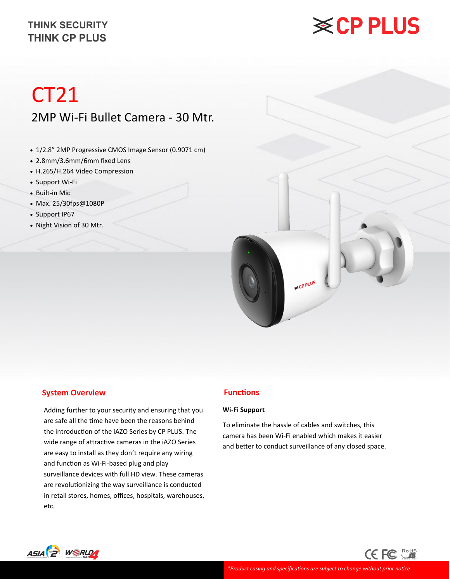# **※CP PLUS**

## CT21 2MP Wi-Fi Bullet Camera - 30 Mtr.

- 1/2.8" 2MP Progressive CMOS Image Sensor (0.9071 cm)
- 2.8mm/3.6mm/6mm fixed Lens
- H.265/H.264 Video Compression
- Support Wi-Fi
- Built-in Mic
- Max. 25/30fps@1080P
- Support IP67
- Night Vision of 30 Mtr.



#### **System Overview**

Adding further to your security and ensuring that you are safe all the time have been the reasons behind the introduction of the iAZO Series by CP PLUS. The wide range of attractive cameras in the iAZO Series are easy to install as they don't require any wiring and function as Wi-Fi-based plug and play surveillance devices with full HD view. These cameras are revolutionizing the way surveillance is conducted in retail stores, homes, offices, hospitals, warehouses, etc.

#### **Functions**

#### **Wi-Fi Support**

To eliminate the hassle of cables and switches, this camera has been Wi-Fi enabled which makes it easier and better to conduct surveillance of any closed space.

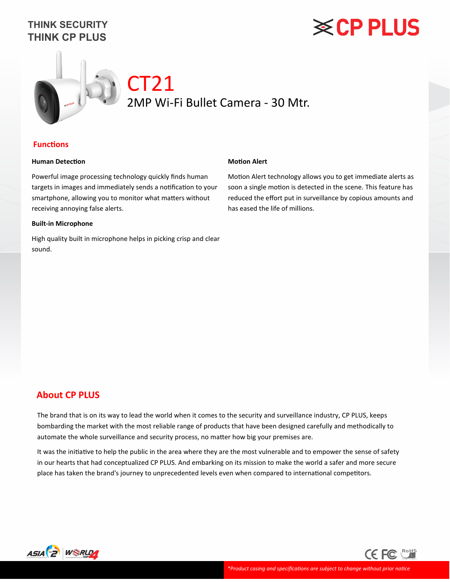# **※CP PLUS**



#### **Functions**

#### **Human Detection**

Powerful image processing technology quickly finds human targets in images and immediately sends a notification to your smartphone, allowing you to monitor what matters without receiving annoying false alerts.

#### **Built-in Microphone**

High quality built in microphone helps in picking crisp and clear sound.

#### **Motion Alert**

Motion Alert technology allows you to get immediate alerts as soon a single motion is detected in the scene. This feature has reduced the effort put in surveillance by copious amounts and has eased the life of millions.

### **About CP PLUS**

The brand that is on its way to lead the world when it comes to the security and surveillance industry, CP PLUS, keeps bombarding the market with the most reliable range of products that have been designed carefully and methodically to automate the whole surveillance and security process, no matter how big your premises are.

It was the initiative to help the public in the area where they are the most vulnerable and to empower the sense of safety in our hearts that had conceptualized CP PLUS. And embarking on its mission to make the world a safer and more secure place has taken the brand's journey to unprecedented levels even when compared to international competitors.



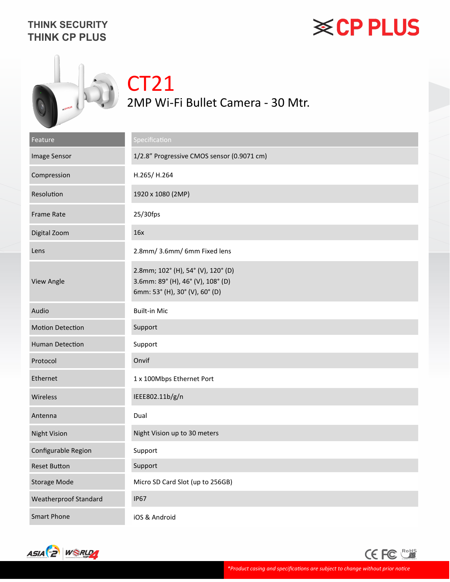# **※CP PLUS**



## CT21 2MP Wi-Fi Bullet Camera - 30 Mtr.

| Feature                      | Specification                                                                                             |
|------------------------------|-----------------------------------------------------------------------------------------------------------|
| Image Sensor                 | 1/2.8" Progressive CMOS sensor (0.9071 cm)                                                                |
| Compression                  | H.265/H.264                                                                                               |
| Resolution                   | 1920 x 1080 (2MP)                                                                                         |
| <b>Frame Rate</b>            | 25/30fps                                                                                                  |
| Digital Zoom                 | 16x                                                                                                       |
| Lens                         | 2.8mm/3.6mm/6mm Fixed lens                                                                                |
| <b>View Angle</b>            | 2.8mm; 102° (H), 54° (V), 120° (D)<br>3.6mm: 89° (H), 46° (V), 108° (D)<br>6mm: 53° (H), 30° (V), 60° (D) |
| Audio                        | <b>Built-in Mic</b>                                                                                       |
| <b>Motion Detection</b>      | Support                                                                                                   |
| <b>Human Detection</b>       | Support                                                                                                   |
| Protocol                     | Onvif                                                                                                     |
| Ethernet                     | 1 x 100Mbps Ethernet Port                                                                                 |
| Wireless                     | IEEE802.11b/g/n                                                                                           |
| Antenna                      | Dual                                                                                                      |
| <b>Night Vision</b>          | Night Vision up to 30 meters                                                                              |
| Configurable Region          | Support                                                                                                   |
| <b>Reset Button</b>          | Support                                                                                                   |
| <b>Storage Mode</b>          | Micro SD Card Slot (up to 256GB)                                                                          |
| <b>Weatherproof Standard</b> | <b>IP67</b>                                                                                               |
| <b>Smart Phone</b>           | iOS & Android                                                                                             |